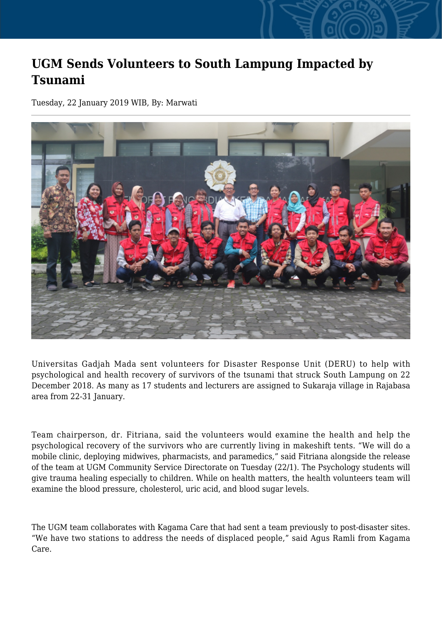## **UGM Sends Volunteers to South Lampung Impacted by Tsunami**

Tuesday, 22 January 2019 WIB, By: Marwati



Universitas Gadjah Mada sent volunteers for Disaster Response Unit (DERU) to help with psychological and health recovery of survivors of the tsunami that struck South Lampung on 22 December 2018. As many as 17 students and lecturers are assigned to Sukaraja village in Rajabasa area from 22-31 January.

Team chairperson, dr. Fitriana, said the volunteers would examine the health and help the psychological recovery of the survivors who are currently living in makeshift tents. "We will do a mobile clinic, deploying midwives, pharmacists, and paramedics," said Fitriana alongside the release of the team at UGM Community Service Directorate on Tuesday (22/1). The Psychology students will give trauma healing especially to children. While on health matters, the health volunteers team will examine the blood pressure, cholesterol, uric acid, and blood sugar levels.

The UGM team collaborates with Kagama Care that had sent a team previously to post-disaster sites. "We have two stations to address the needs of displaced people," said Agus Ramli from Kagama Care.